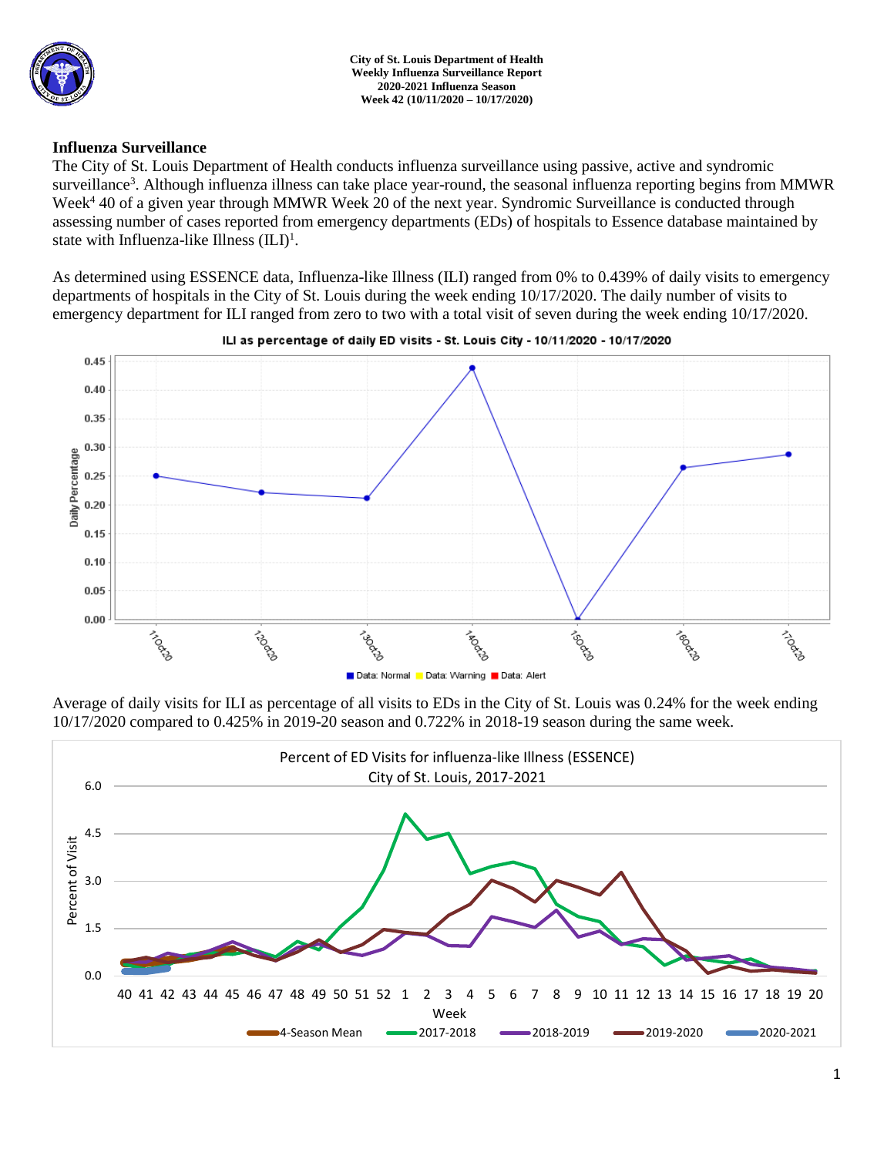

## **Influenza Surveillance**

The City of St. Louis Department of Health conducts influenza surveillance using passive, active and syndromic surveillance<sup>3</sup>. Although influenza illness can take place year-round, the seasonal influenza reporting begins from MMWR Week<sup>4</sup> 40 of a given year through MMWR Week 20 of the next year. Syndromic Surveillance is conducted through assessing number of cases reported from emergency departments (EDs) of hospitals to Essence database maintained by state with Influenza-like Illness  $(ILI)^1$ .

As determined using ESSENCE data, Influenza-like Illness (ILI) ranged from 0% to 0.439% of daily visits to emergency departments of hospitals in the City of St. Louis during the week ending 10/17/2020. The daily number of visits to emergency department for ILI ranged from zero to two with a total visit of seven during the week ending 10/17/2020.





Average of daily visits for ILI as percentage of all visits to EDs in the City of St. Louis was 0.24% for the week ending 10/17/2020 compared to 0.425% in 2019-20 season and 0.722% in 2018-19 season during the same week.

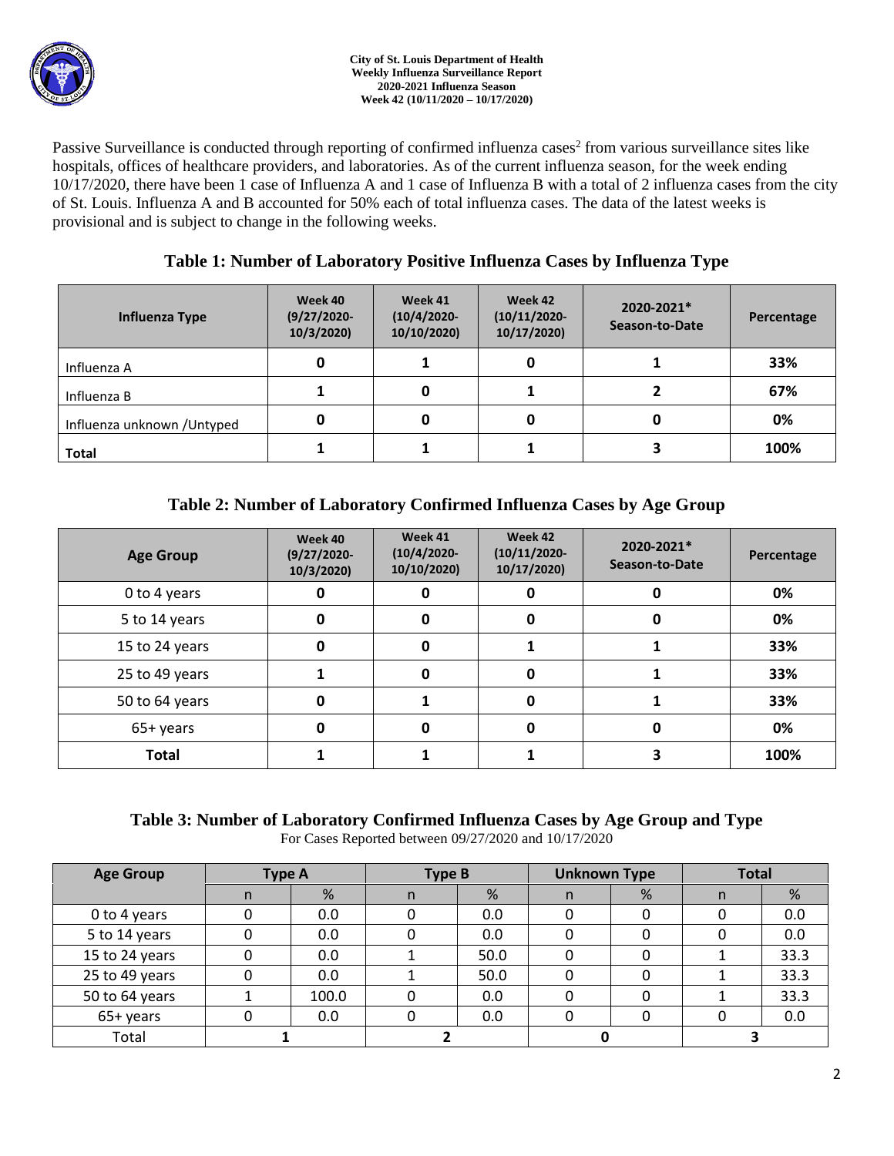

Passive Surveillance is conducted through reporting of confirmed influenza cases<sup>2</sup> from various surveillance sites like hospitals, offices of healthcare providers, and laboratories. As of the current influenza season, for the week ending 10/17/2020, there have been 1 case of Influenza A and 1 case of Influenza B with a total of 2 influenza cases from the city of St. Louis. Influenza A and B accounted for 50% each of total influenza cases. The data of the latest weeks is provisional and is subject to change in the following weeks.

# **Table 1: Number of Laboratory Positive Influenza Cases by Influenza Type**

| Influenza Type              | Week 40<br>$(9/27/2020 -$<br>10/3/2020 | Week 41<br>$(10/4/2020 -$<br>10/10/2020) | Week 42<br>$(10/11/2020 -$<br>10/17/2020) | 2020-2021*<br>Season-to-Date | Percentage |
|-----------------------------|----------------------------------------|------------------------------------------|-------------------------------------------|------------------------------|------------|
| Influenza A                 |                                        |                                          |                                           |                              | 33%        |
| Influenza B                 |                                        |                                          |                                           |                              | 67%        |
| Influenza unknown / Untyped |                                        |                                          |                                           |                              | 0%         |
| <b>Total</b>                |                                        |                                          |                                           |                              | 100%       |

# **Table 2: Number of Laboratory Confirmed Influenza Cases by Age Group**

| <b>Age Group</b> | Week 40<br>$(9/27/2020 -$<br>10/3/2020) | Week 41<br>$(10/4/2020 -$<br>10/10/2020) | Week 42<br>$(10/11/2020 -$<br>10/17/2020) | 2020-2021*<br>Season-to-Date | Percentage |
|------------------|-----------------------------------------|------------------------------------------|-------------------------------------------|------------------------------|------------|
| 0 to 4 years     | O                                       | O                                        |                                           | 0%                           |            |
| 5 to 14 years    | 0                                       | 0<br>0                                   |                                           | 0%                           |            |
| 15 to 24 years   | 0                                       | Ω                                        |                                           |                              | 33%        |
| 25 to 49 years   |                                         | O                                        |                                           |                              | 33%        |
| 50 to 64 years   | 0                                       |                                          |                                           |                              | 33%        |
| 65+ years        | Ω                                       |                                          |                                           | O                            | 0%         |
| <b>Total</b>     |                                         |                                          |                                           |                              | 100%       |

# **Table 3: Number of Laboratory Confirmed Influenza Cases by Age Group and Type**

For Cases Reported between 09/27/2020 and 10/17/2020

| <b>Age Group</b> | <b>Type A</b> |       | <b>Type B</b> |      | <b>Unknown Type</b> |   | <b>Total</b> |      |
|------------------|---------------|-------|---------------|------|---------------------|---|--------------|------|
|                  | n             | %     | n             | %    | n                   | % | n            | %    |
| 0 to 4 years     |               | 0.0   |               | 0.0  |                     |   |              | 0.0  |
| 5 to 14 years    |               | 0.0   |               | 0.0  |                     |   |              | 0.0  |
| 15 to 24 years   |               | 0.0   |               | 50.0 |                     |   |              | 33.3 |
| 25 to 49 years   |               | 0.0   |               | 50.0 |                     |   |              | 33.3 |
| 50 to 64 years   |               | 100.0 |               | 0.0  |                     |   |              | 33.3 |
| 65+ years        |               | 0.0   |               | 0.0  |                     |   |              | 0.0  |
| Total            |               |       |               |      |                     |   |              |      |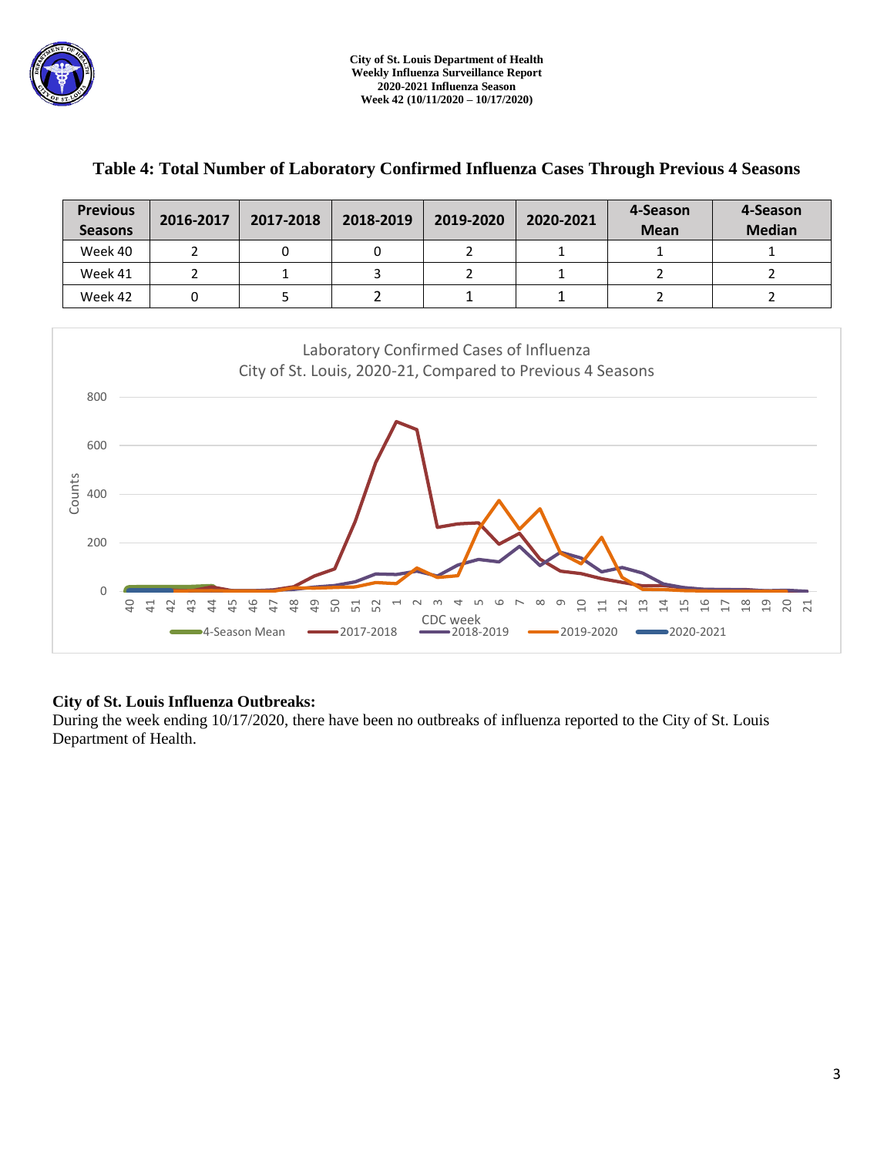

| <b>Previous</b><br><b>Seasons</b> | 2016-2017 | 2017-2018 | 2018-2019 | 2019-2020 | 2020-2021 | 4-Season<br><b>Mean</b> | 4-Season<br><b>Median</b> |
|-----------------------------------|-----------|-----------|-----------|-----------|-----------|-------------------------|---------------------------|
| Week 40                           |           |           |           |           |           |                         |                           |
| Week 41                           |           |           |           |           |           |                         |                           |
| Week 42                           |           |           |           |           |           |                         |                           |

## **Table 4: Total Number of Laboratory Confirmed Influenza Cases Through Previous 4 Seasons**



### **City of St. Louis Influenza Outbreaks:**

During the week ending 10/17/2020, there have been no outbreaks of influenza reported to the City of St. Louis Department of Health.